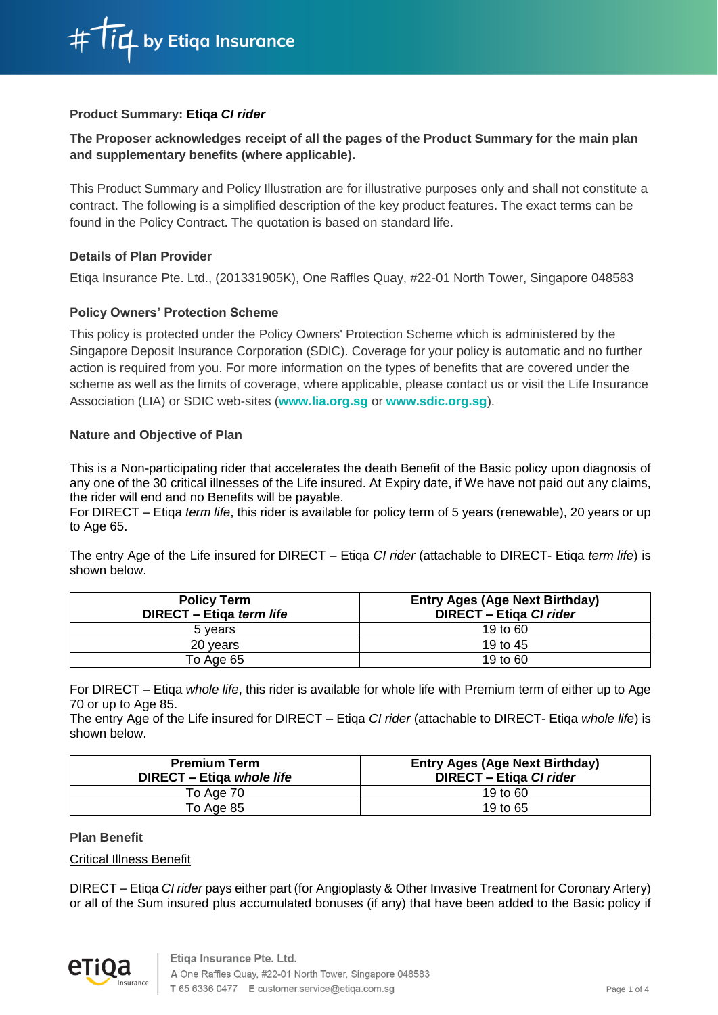# **Product Summary: Etiqa** *CI rider*

# **The Proposer acknowledges receipt of all the pages of the Product Summary for the main plan and supplementary benefits (where applicable).**

This Product Summary and Policy Illustration are for illustrative purposes only and shall not constitute a contract. The following is a simplified description of the key product features. The exact terms can be found in the Policy Contract. The quotation is based on standard life.

# **Details of Plan Provider**

Etiqa Insurance Pte. Ltd., (201331905K), One Raffles Quay, #22-01 North Tower, Singapore 048583

# **Policy Owners' Protection Scheme**

This policy is protected under the Policy Owners' Protection Scheme which is administered by the Singapore Deposit Insurance Corporation (SDIC). Coverage for your policy is automatic and no further action is required from you. For more information on the types of benefits that are covered under the scheme as well as the limits of coverage, where applicable, please contact us or visit the Life Insurance Association (LIA) or SDIC web-sites (**www.lia.org.sg** or **www.sdic.org.sg**).

### **Nature and Objective of Plan**

This is a Non-participating rider that accelerates the death Benefit of the Basic policy upon diagnosis of any one of the 30 critical illnesses of the Life insured. At Expiry date, if We have not paid out any claims, the rider will end and no Benefits will be payable.

For DIRECT – Etiqa *term life*, this rider is available for policy term of 5 years (renewable), 20 years or up to Age 65.

The entry Age of the Life insured for DIRECT – Etiqa *CI rider* (attachable to DIRECT- Etiqa *term life*) is shown below.

| <b>Policy Term</b><br>DIRECT - Etiga term life | <b>Entry Ages (Age Next Birthday)</b><br>DIRECT - Etiga CI rider |
|------------------------------------------------|------------------------------------------------------------------|
| 5 years                                        | 19 to 60                                                         |
| 20 years                                       | 19 to 45                                                         |
| To Age 65                                      | 19 to 60                                                         |

For DIRECT – Etiqa *whole life*, this rider is available for whole life with Premium term of either up to Age 70 or up to Age 85.

The entry Age of the Life insured for DIRECT – Etiqa *CI rider* (attachable to DIRECT- Etiqa *whole life*) is shown below.

| <b>Premium Term</b><br>DIRECT - Etiga whole life | <b>Entry Ages (Age Next Birthday)</b><br><b>DIRECT - Etiga CI rider</b> |
|--------------------------------------------------|-------------------------------------------------------------------------|
| To Age 70                                        | 19 to $60$                                                              |
| To Age 85                                        | 19 to 65                                                                |

### **Plan Benefit**

### Critical Illness Benefit

DIRECT – Etiqa *CI rider* pays either part (for Angioplasty & Other Invasive Treatment for Coronary Artery) or all of the Sum insured plus accumulated bonuses (if any) that have been added to the Basic policy if

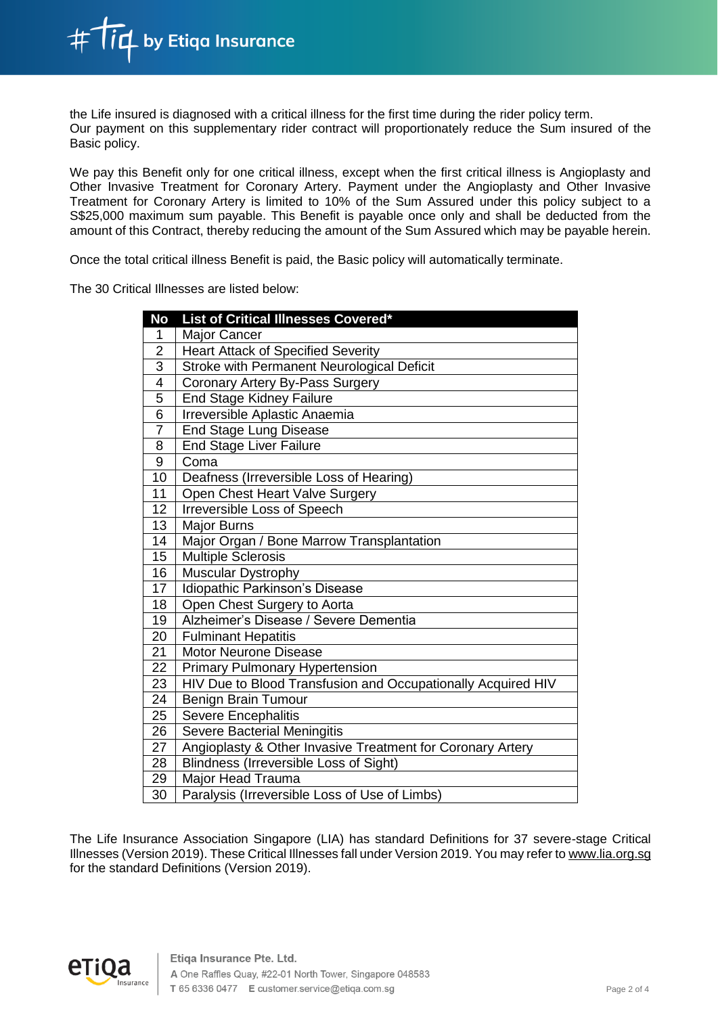the Life insured is diagnosed with a critical illness for the first time during the rider policy term. Our payment on this supplementary rider contract will proportionately reduce the Sum insured of the Basic policy.

We pay this Benefit only for one critical illness, except when the first critical illness is Angioplasty and Other Invasive Treatment for Coronary Artery. Payment under the Angioplasty and Other Invasive Treatment for Coronary Artery is limited to 10% of the Sum Assured under this policy subject to a S\$25,000 maximum sum payable. This Benefit is payable once only and shall be deducted from the amount of this Contract, thereby reducing the amount of the Sum Assured which may be payable herein.

Once the total critical illness Benefit is paid, the Basic policy will automatically terminate.

The 30 Critical Illnesses are listed below:

| <b>No</b>       | List of Critical Illnesses Covered*                          |
|-----------------|--------------------------------------------------------------|
| 1               | <b>Major Cancer</b>                                          |
| $\overline{2}$  | <b>Heart Attack of Specified Severity</b>                    |
| $\overline{3}$  | Stroke with Permanent Neurological Deficit                   |
| 4               | Coronary Artery By-Pass Surgery                              |
| 5               | End Stage Kidney Failure                                     |
| $\overline{6}$  | Irreversible Aplastic Anaemia                                |
| $\overline{7}$  | <b>End Stage Lung Disease</b>                                |
| 8               | <b>End Stage Liver Failure</b>                               |
| 9               | Coma                                                         |
| 10              | Deafness (Irreversible Loss of Hearing)                      |
| 11              | Open Chest Heart Valve Surgery                               |
| 12              | Irreversible Loss of Speech                                  |
| $\overline{13}$ | <b>Major Burns</b>                                           |
| 14              | Major Organ / Bone Marrow Transplantation                    |
| 15              | <b>Multiple Sclerosis</b>                                    |
| 16              | Muscular Dystrophy                                           |
| 17              | Idiopathic Parkinson's Disease                               |
| 18              | Open Chest Surgery to Aorta                                  |
| 19              | Alzheimer's Disease / Severe Dementia                        |
| 20              | <b>Fulminant Hepatitis</b>                                   |
| 21              | <b>Motor Neurone Disease</b>                                 |
| 22              | <b>Primary Pulmonary Hypertension</b>                        |
| 23              | HIV Due to Blood Transfusion and Occupationally Acquired HIV |
| 24              | Benign Brain Tumour                                          |
| 25              | <b>Severe Encephalitis</b>                                   |
| 26              | Severe Bacterial Meningitis                                  |
| 27              | Angioplasty & Other Invasive Treatment for Coronary Artery   |
| 28              | Blindness (Irreversible Loss of Sight)                       |
| 29              | Major Head Trauma                                            |
| $\overline{30}$ | Paralysis (Irreversible Loss of Use of Limbs)                |

The Life Insurance Association Singapore (LIA) has standard Definitions for 37 severe-stage Critical Illnesses (Version 2019). These Critical Illnesses fall under Version 2019. You may refer to www.lia.org.sg for the standard Definitions (Version 2019).

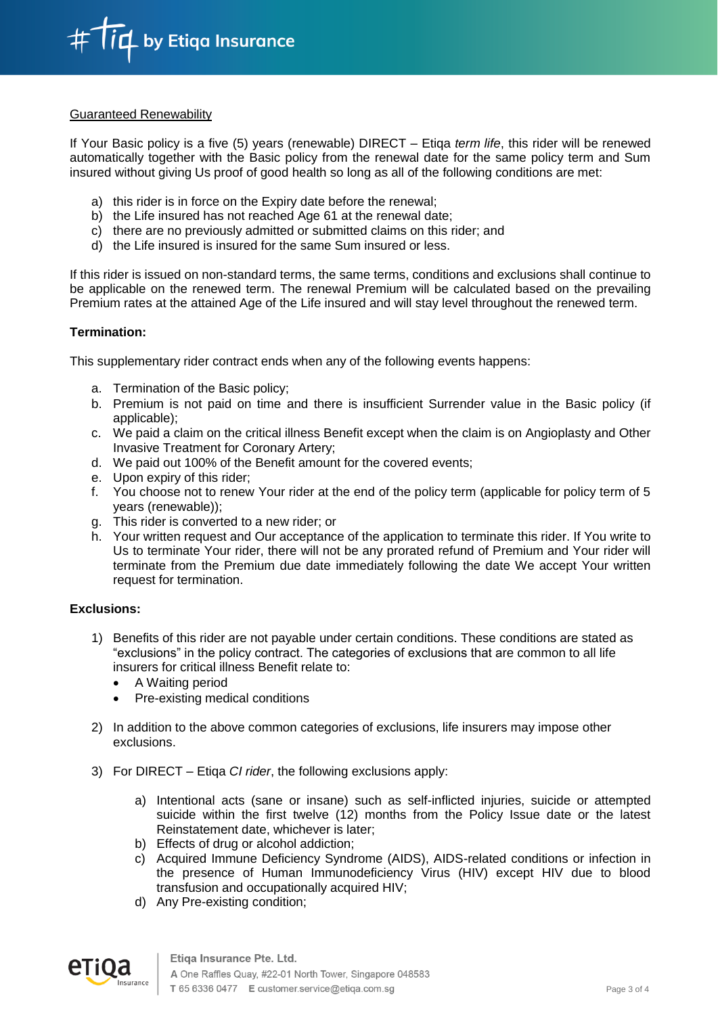

### Guaranteed Renewability

If Your Basic policy is a five (5) years (renewable) DIRECT – Etiqa *term life*, this rider will be renewed automatically together with the Basic policy from the renewal date for the same policy term and Sum insured without giving Us proof of good health so long as all of the following conditions are met:

- a) this rider is in force on the Expiry date before the renewal;
- b) the Life insured has not reached Age 61 at the renewal date;
- c) there are no previously admitted or submitted claims on this rider; and
- d) the Life insured is insured for the same Sum insured or less.

If this rider is issued on non-standard terms, the same terms, conditions and exclusions shall continue to be applicable on the renewed term. The renewal Premium will be calculated based on the prevailing Premium rates at the attained Age of the Life insured and will stay level throughout the renewed term.

### **Termination:**

This supplementary rider contract ends when any of the following events happens:

- a. Termination of the Basic policy;
- b. Premium is not paid on time and there is insufficient Surrender value in the Basic policy (if applicable);
- c. We paid a claim on the critical illness Benefit except when the claim is on Angioplasty and Other Invasive Treatment for Coronary Artery;
- d. We paid out 100% of the Benefit amount for the covered events;
- e. Upon expiry of this rider;
- f. You choose not to renew Your rider at the end of the policy term (applicable for policy term of 5 years (renewable));
- g. This rider is converted to a new rider; or
- h. Your written request and Our acceptance of the application to terminate this rider. If You write to Us to terminate Your rider, there will not be any prorated refund of Premium and Your rider will terminate from the Premium due date immediately following the date We accept Your written request for termination.

#### **Exclusions:**

- 1) Benefits of this rider are not payable under certain conditions. These conditions are stated as "exclusions" in the policy contract. The categories of exclusions that are common to all life insurers for critical illness Benefit relate to:
	- A Waiting period
	- Pre-existing medical conditions
- 2) In addition to the above common categories of exclusions, life insurers may impose other exclusions.
- 3) For DIRECT Etiqa *CI rider*, the following exclusions apply:
	- a) Intentional acts (sane or insane) such as self-inflicted injuries, suicide or attempted suicide within the first twelve (12) months from the Policy Issue date or the latest Reinstatement date, whichever is later;
	- b) Effects of drug or alcohol addiction;
	- c) Acquired Immune Deficiency Syndrome (AIDS), AIDS-related conditions or infection in the presence of Human Immunodeficiency Virus (HIV) except HIV due to blood transfusion and occupationally acquired HIV;
	- d) Any Pre-existing condition;